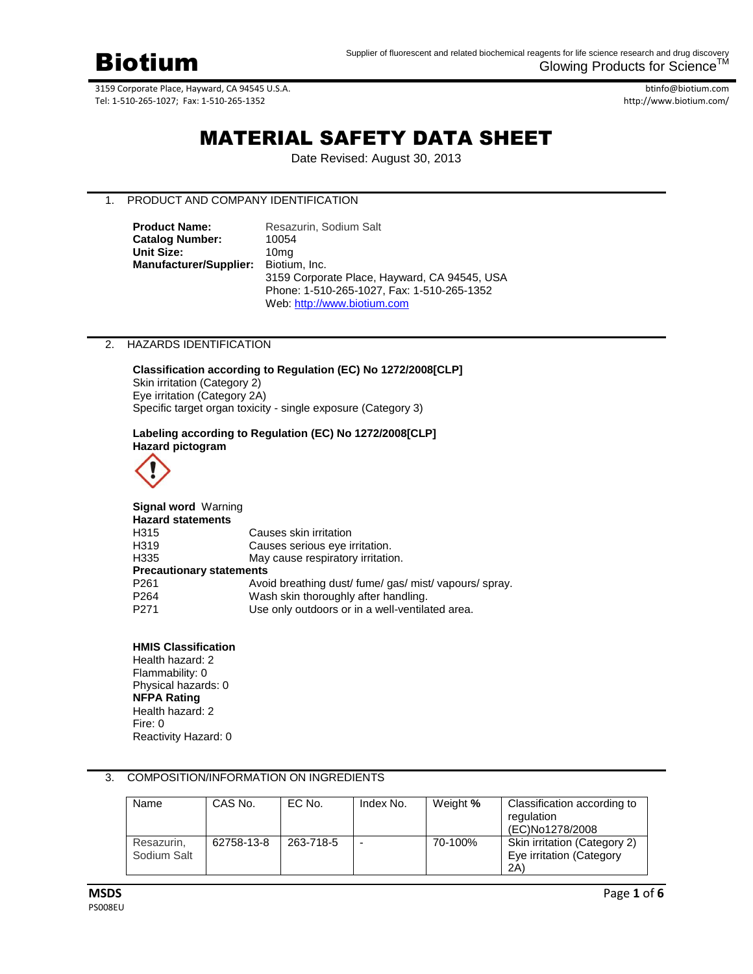

btinfo@biotium.com http://www.biotium.com/

# MATERIAL SAFETY DATA SHEET

Date Revised: August 30, 2013

# 1. PRODUCT AND COMPANY IDENTIFICATION

| <b>Product Name:</b>   | Resazurin, Sodium Salt                       |  |  |  |
|------------------------|----------------------------------------------|--|--|--|
| <b>Catalog Number:</b> | 10054                                        |  |  |  |
| Unit Size:             | 10ma                                         |  |  |  |
| Manufacturer/Supplier: | Biotium, Inc.                                |  |  |  |
|                        | 3159 Corporate Place, Hayward, CA 94545, USA |  |  |  |
|                        | Phone: 1-510-265-1027, Fax: 1-510-265-1352   |  |  |  |
|                        | Web: http://www.biotium.com                  |  |  |  |

#### 2. HAZARDS IDENTIFICATION

**Classification according to Regulation (EC) No 1272/2008[CLP]** Skin irritation (Category 2) Eye irritation (Category 2A) Specific target organ toxicity - single exposure (Category 3)

# **Labeling according to Regulation (EC) No 1272/2008[CLP] Hazard pictogram**



| <b>Signal word Warning</b>      |                                                        |  |  |  |
|---------------------------------|--------------------------------------------------------|--|--|--|
| <b>Hazard statements</b>        |                                                        |  |  |  |
| H315                            | Causes skin irritation                                 |  |  |  |
| H319                            | Causes serious eye irritation.                         |  |  |  |
| H335                            | May cause respiratory irritation.                      |  |  |  |
| <b>Precautionary statements</b> |                                                        |  |  |  |
| P <sub>261</sub>                | Avoid breathing dust/ fume/ gas/ mist/ vapours/ spray. |  |  |  |
| P <sub>264</sub>                | Wash skin thoroughly after handling.                   |  |  |  |
| P <sub>271</sub>                | Use only outdoors or in a well-ventilated area.        |  |  |  |

#### **HMIS Classification**

Health hazard: 2 Flammability: 0 Physical hazards: 0 **NFPA Rating** Health hazard: 2 Fire: 0 Reactivity Hazard: 0

# 3. COMPOSITION/INFORMATION ON INGREDIENTS

| Name                      | CAS No.    | EC No.    | Index No. | Weight % | Classification according to<br>regulation<br>(EC)No1278/2008    |
|---------------------------|------------|-----------|-----------|----------|-----------------------------------------------------------------|
| Resazurin.<br>Sodium Salt | 62758-13-8 | 263-718-5 |           | 70-100%  | Skin irritation (Category 2)<br>Eye irritation (Category<br>2A) |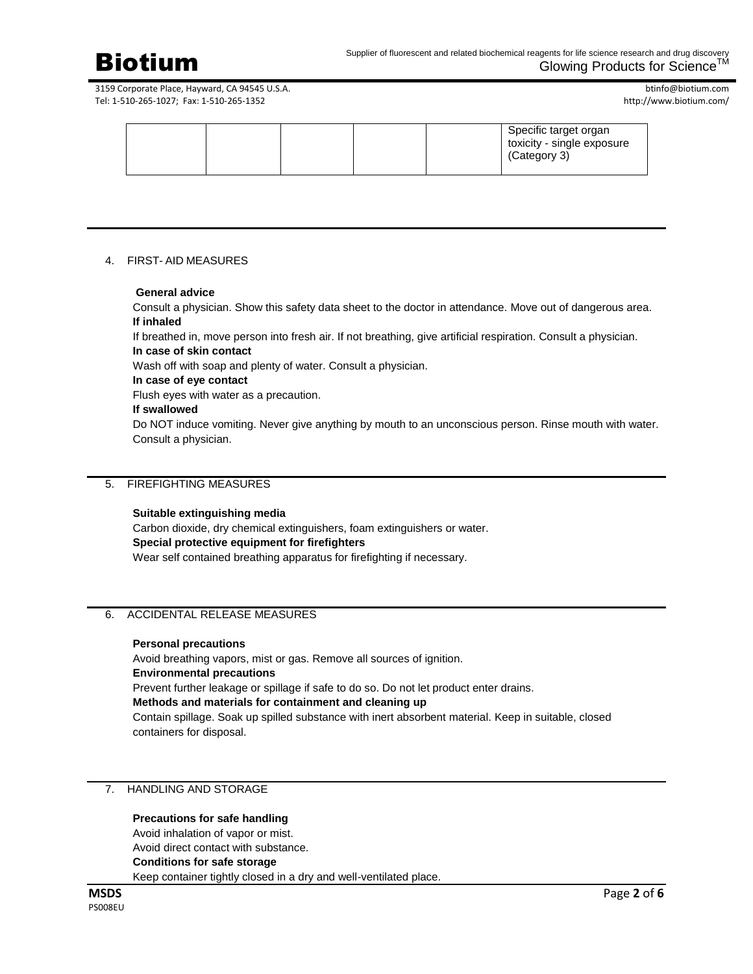

btinfo@biotium.com http://www.biotium.com/

|  |  |  |  |  | Specific target organ<br>toxicity - single exposure<br>(Category 3) |
|--|--|--|--|--|---------------------------------------------------------------------|
|--|--|--|--|--|---------------------------------------------------------------------|

#### 4. FIRST- AID MEASURES

#### **General advice**

Consult a physician. Show this safety data sheet to the doctor in attendance. Move out of dangerous area. **If inhaled**

If breathed in, move person into fresh air. If not breathing, give artificial respiration. Consult a physician.

# **In case of skin contact**

Wash off with soap and plenty of water. Consult a physician.

# **In case of eye contact**

Flush eyes with water as a precaution.

#### **If swallowed**

Do NOT induce vomiting. Never give anything by mouth to an unconscious person. Rinse mouth with water. Consult a physician.

# 5. FIREFIGHTING MEASURES

#### **Suitable extinguishing media**

Carbon dioxide, dry chemical extinguishers, foam extinguishers or water. **Special protective equipment for firefighters** Wear self contained breathing apparatus for firefighting if necessary.

# 6. ACCIDENTAL RELEASE MEASURES

#### **Personal precautions**

Avoid breathing vapors, mist or gas. Remove all sources of ignition. **Environmental precautions** Prevent further leakage or spillage if safe to do so. Do not let product enter drains. **Methods and materials for containment and cleaning up** Contain spillage. Soak up spilled substance with inert absorbent material. Keep in suitable, closed containers for disposal.

#### 7. HANDLING AND STORAGE

#### **Precautions for safe handling**

Avoid inhalation of vapor or mist.

Avoid direct contact with substance.

# **Conditions for safe storage**

Keep container tightly closed in a dry and well-ventilated place.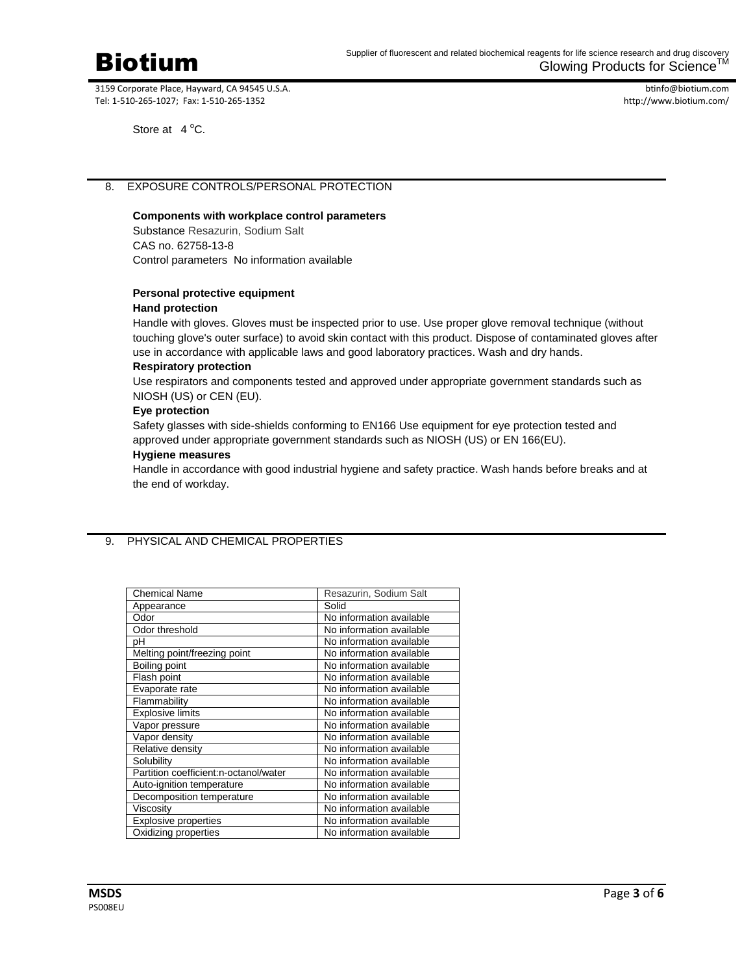

btinfo@biotium.com http://www.biotium.com/

Store at  $4^{\circ}$ C.

# 8. EXPOSURE CONTROLS/PERSONAL PROTECTION

## **Components with workplace control parameters**

Substance Resazurin, Sodium Salt CAS no. 62758-13-8 Control parameters No information available

#### **Personal protective equipment**

#### **Hand protection**

Handle with gloves. Gloves must be inspected prior to use. Use proper glove removal technique (without touching glove's outer surface) to avoid skin contact with this product. Dispose of contaminated gloves after use in accordance with applicable laws and good laboratory practices. Wash and dry hands.

#### **Respiratory protection**

Use respirators and components tested and approved under appropriate government standards such as NIOSH (US) or CEN (EU).

#### **Eye protection**

Safety glasses with side-shields conforming to EN166 Use equipment for eye protection tested and approved under appropriate government standards such as NIOSH (US) or EN 166(EU).

#### **Hygiene measures**

Handle in accordance with good industrial hygiene and safety practice. Wash hands before breaks and at the end of workday.

# 9. PHYSICAL AND CHEMICAL PROPERTIES

| <b>Chemical Name</b>                  | Resazurin, Sodium Salt   |
|---------------------------------------|--------------------------|
| Appearance                            | Solid                    |
| Odor                                  | No information available |
| Odor threshold                        | No information available |
| рH                                    | No information available |
| Melting point/freezing point          | No information available |
| Boiling point                         | No information available |
| Flash point                           | No information available |
| Evaporate rate                        | No information available |
| Flammability                          | No information available |
| <b>Explosive limits</b>               | No information available |
| Vapor pressure                        | No information available |
| Vapor density                         | No information available |
| Relative density                      | No information available |
| Solubility                            | No information available |
| Partition coefficient:n-octanol/water | No information available |
| Auto-ignition temperature             | No information available |
| Decomposition temperature             | No information available |
| Viscosity                             | No information available |
| Explosive properties                  | No information available |
| Oxidizing properties                  | No information available |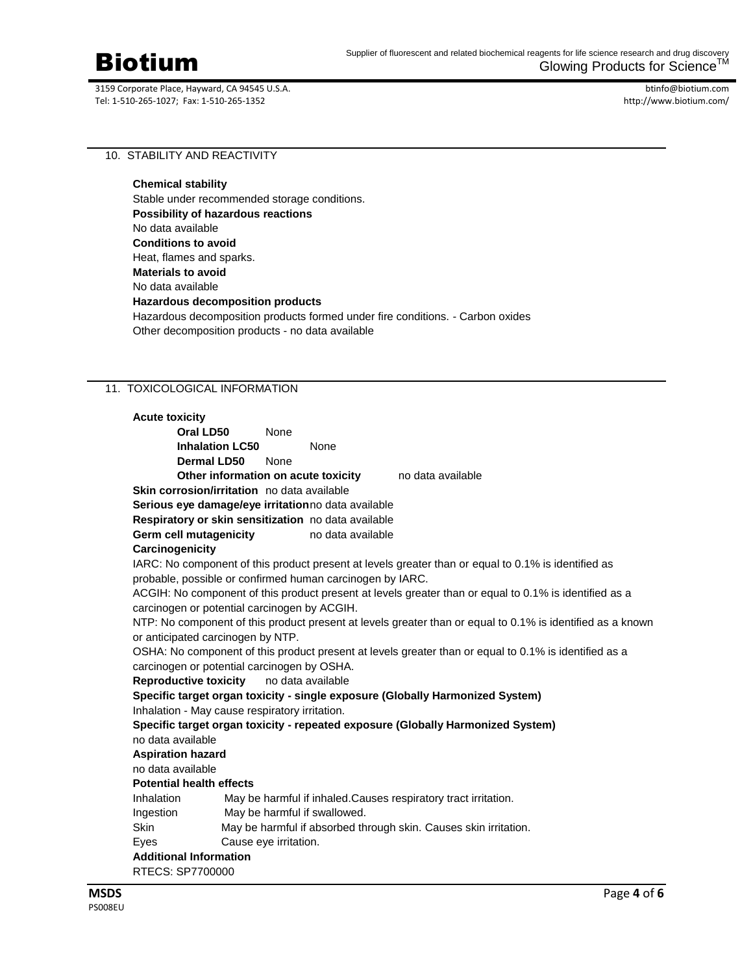

btinfo@biotium.com http://www.biotium.com/

10. STABILITY AND REACTIVITY

**Chemical stability** Stable under recommended storage conditions. **Possibility of hazardous reactions** No data available **Conditions to avoid** Heat, flames and sparks. **Materials to avoid** No data available **Hazardous decomposition products** Hazardous decomposition products formed under fire conditions. - Carbon oxides Other decomposition products - no data available

# 11. TOXICOLOGICAL INFORMATION

| <b>Acute toxicity</b>           |                                                |                       |                                                           |                                                                                                            |  |
|---------------------------------|------------------------------------------------|-----------------------|-----------------------------------------------------------|------------------------------------------------------------------------------------------------------------|--|
|                                 | Oral LD50                                      | None                  |                                                           |                                                                                                            |  |
|                                 | <b>Inhalation LC50</b>                         |                       | None                                                      |                                                                                                            |  |
|                                 | Dermal LD50                                    | None                  |                                                           |                                                                                                            |  |
|                                 | Other information on acute toxicity            |                       |                                                           | no data available                                                                                          |  |
|                                 | Skin corrosion/irritation no data available    |                       |                                                           |                                                                                                            |  |
|                                 |                                                |                       | Serious eye damage/eye irritationno data available        |                                                                                                            |  |
|                                 |                                                |                       | Respiratory or skin sensitization no data available       |                                                                                                            |  |
|                                 | Germ cell mutagenicity                         |                       | no data available                                         |                                                                                                            |  |
| Carcinogenicity                 |                                                |                       |                                                           |                                                                                                            |  |
|                                 |                                                |                       |                                                           | IARC: No component of this product present at levels greater than or equal to 0.1% is identified as        |  |
|                                 |                                                |                       | probable, possible or confirmed human carcinogen by IARC. |                                                                                                            |  |
|                                 |                                                |                       |                                                           | ACGIH: No component of this product present at levels greater than or equal to 0.1% is identified as a     |  |
|                                 | carcinogen or potential carcinogen by ACGIH.   |                       |                                                           |                                                                                                            |  |
|                                 |                                                |                       |                                                           | NTP: No component of this product present at levels greater than or equal to 0.1% is identified as a known |  |
|                                 | or anticipated carcinogen by NTP.              |                       |                                                           |                                                                                                            |  |
|                                 |                                                |                       |                                                           | OSHA: No component of this product present at levels greater than or equal to 0.1% is identified as a      |  |
|                                 | carcinogen or potential carcinogen by OSHA.    |                       |                                                           |                                                                                                            |  |
|                                 | <b>Reproductive toxicity</b>                   |                       | no data available                                         |                                                                                                            |  |
|                                 |                                                |                       |                                                           | Specific target organ toxicity - single exposure (Globally Harmonized System)                              |  |
|                                 | Inhalation - May cause respiratory irritation. |                       |                                                           |                                                                                                            |  |
|                                 |                                                |                       |                                                           | Specific target organ toxicity - repeated exposure (Globally Harmonized System)                            |  |
| no data available               |                                                |                       |                                                           |                                                                                                            |  |
| <b>Aspiration hazard</b>        |                                                |                       |                                                           |                                                                                                            |  |
| no data available               |                                                |                       |                                                           |                                                                                                            |  |
| <b>Potential health effects</b> |                                                |                       |                                                           |                                                                                                            |  |
| Inhalation                      |                                                |                       |                                                           | May be harmful if inhaled. Causes respiratory tract irritation.                                            |  |
| Ingestion                       |                                                |                       | May be harmful if swallowed.                              |                                                                                                            |  |
| <b>Skin</b>                     |                                                |                       |                                                           | May be harmful if absorbed through skin. Causes skin irritation.                                           |  |
| Eyes                            |                                                | Cause eye irritation. |                                                           |                                                                                                            |  |
| <b>Additional Information</b>   |                                                |                       |                                                           |                                                                                                            |  |
| RTECS: SP7700000                |                                                |                       |                                                           |                                                                                                            |  |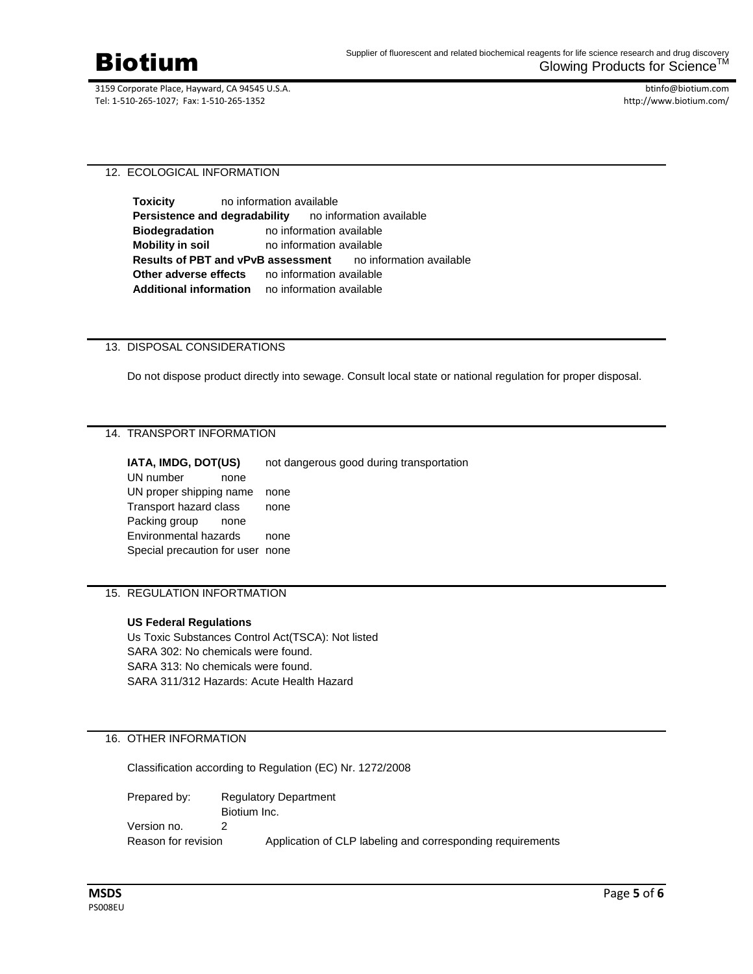

btinfo@biotium.com http://www.biotium.com/

12. ECOLOGICAL INFORMATION

**Toxicity** no information available **Persistence and degradability** no information available **Biodegradation** no information available **Mobility in soil** no information available **Results of PBT and vPvB assessment** no information available **Other adverse effects** no information available **Additional information** no information available

# 13. DISPOSAL CONSIDERATIONS

Do not dispose product directly into sewage. Consult local state or national regulation for proper disposal.

# 14. TRANSPORT INFORMATION

**IATA, IMDG, DOT(US)** not dangerous good during transportation

UN number none UN proper shipping name none Transport hazard class none Packing group none Environmental hazards none Special precaution for user none

# 15. REGULATION INFORTMATION

#### **US Federal Regulations**

Us Toxic Substances Control Act(TSCA): Not listed SARA 302: No chemicals were found. SARA 313: No chemicals were found. SARA 311/312 Hazards: Acute Health Hazard

# 16. OTHER INFORMATION

Classification according to Regulation (EC) Nr. 1272/2008

Prepared by: Regulatory Department Biotium Inc. Version no. 2 Reason for revision Application of CLP labeling and corresponding requirements